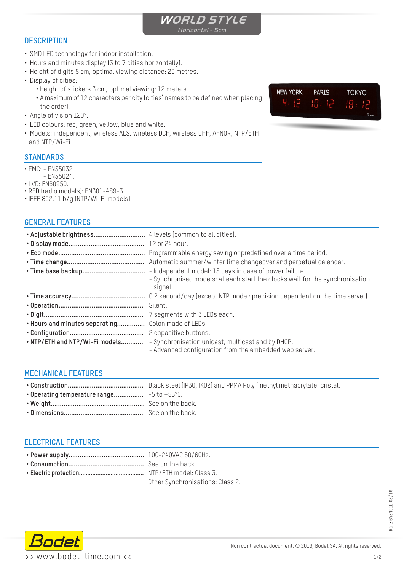

**DESCRIPTION**

- SMD LED technology for indoor installation.
- Hours and minutes display (3 to 7 cities horizontally).
- Height of digits 5 cm, optimal viewing distance: 20 metres.
- Display of cities:
	- height of stickers 3 cm, optimal viewing: 12 meters.
	- A maximum of 12 characters per city (cities' names to be defined when placing the order).
- Angle of vision 120°.
- LED colours: red, green, yellow, blue and white.
- Models: independent, wireless ALS, wireless DCF, wireless DHF, AFNOR, NTP/ETH and NTP/Wi-Fi.

### **STANDARDS**

- EMC: EN55032.
- EN55024.
- LVD: EN60950.

• RED (radio models): EN301-489-3. • IEEE 802.11 b/g (NTP/Wi-Fi models)

### **GENERAL FEATURES**

|                                | Programmable energy saving or predefined over a time period.<br>- Synchronised models: at each start the clocks wait for the synchronisation<br>signal. |
|--------------------------------|---------------------------------------------------------------------------------------------------------------------------------------------------------|
|                                |                                                                                                                                                         |
|                                | Silent.                                                                                                                                                 |
|                                |                                                                                                                                                         |
| . Hours and minutes separating | Colon made of LEDs.                                                                                                                                     |
|                                |                                                                                                                                                         |
|                                | . NTP/ETH and NTP/Wi-Fi models - Synchronisation unicast, multicast and by DHCP.<br>- Advanced configuration from the embedded web server.              |

### **MECHANICAL FEATURES**

# **ELECTRICAL FEATURES**

| Other Synchronisations: Class 2. |  |  |
|----------------------------------|--|--|



**PARIS** 

 $10:12$ 

**TOKYO** 

IR.

**NEW YORK** 

4:12

Réf.: 643N91D 05/19

kéf.: 643N91D 05/19